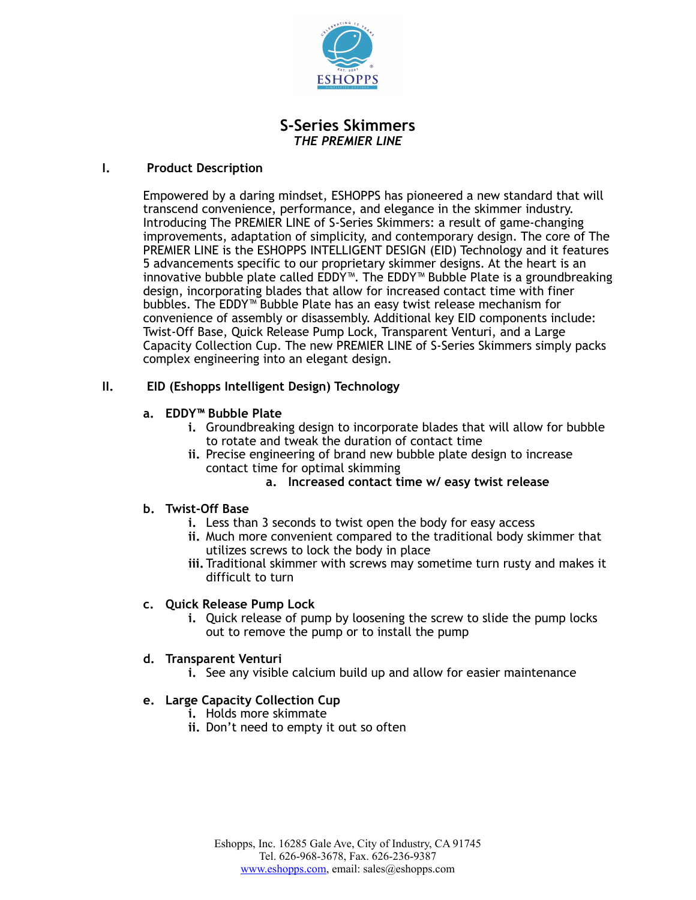

## **S-Series Skimmers** *THE PREMIER LINE*

#### **I. Product Description**

Empowered by a daring mindset, ESHOPPS has pioneered a new standard that will transcend convenience, performance, and elegance in the skimmer industry. Introducing The PREMIER LINE of S-Series Skimmers: a result of game-changing improvements, adaptation of simplicity, and contemporary design. The core of The PREMIER LINE is the ESHOPPS INTELLIGENT DESIGN (EID) Technology and it features 5 advancements specific to our proprietary skimmer designs. At the heart is an innovative bubble plate called EDDY™. The EDDY™ Bubble Plate is a groundbreaking design, incorporating blades that allow for increased contact time with finer bubbles. The EDDY™ Bubble Plate has an easy twist release mechanism for convenience of assembly or disassembly. Additional key EID components include: Twist-Off Base, Quick Release Pump Lock, Transparent Venturi, and a Large Capacity Collection Cup. The new PREMIER LINE of S-Series Skimmers simply packs complex engineering into an elegant design.

## **II. EID (Eshopps Intelligent Design) Technology**

## **a. EDDY™ Bubble Plate**

- **i.** Groundbreaking design to incorporate blades that will allow for bubble to rotate and tweak the duration of contact time
- **ii.** Precise engineering of brand new bubble plate design to increase contact time for optimal skimming

#### **a. Increased contact time w/ easy twist release**

## **b. Twist-Off Base**

- **i.** Less than 3 seconds to twist open the body for easy access
- **ii.** Much more convenient compared to the traditional body skimmer that utilizes screws to lock the body in place
- **iii.** Traditional skimmer with screws may sometime turn rusty and makes it difficult to turn

#### **c. Quick Release Pump Lock**

**i.** Quick release of pump by loosening the screw to slide the pump locks out to remove the pump or to install the pump

#### **d. Transparent Venturi**

**i.** See any visible calcium build up and allow for easier maintenance

## **e. Large Capacity Collection Cup**

- **i.** Holds more skimmate
- **ii.** Don't need to empty it out so often